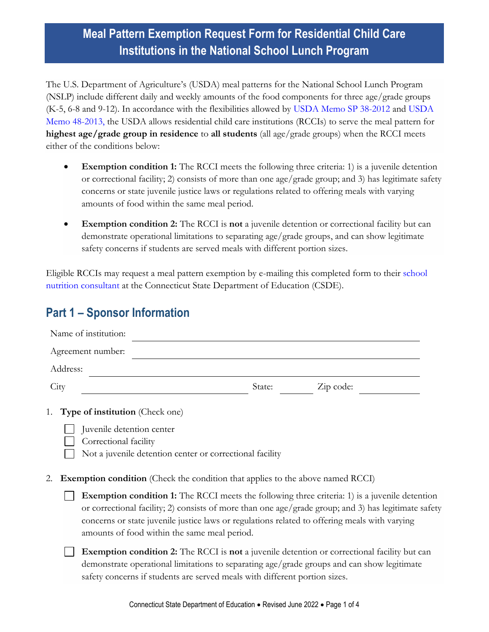### **Meal Pattern Exemption Request Form for Residential Child Care Institutions in the National School Lunch Program**

The U.S. Department of Agriculture's (USDA) meal patterns for the National School Lunch Program (NSLP) include different daily and weekly amounts of the food components for three age/grade groups (K-5, 6-8 and 9-12). In accordance with the flexibilities allowed by [USDA Memo SP 38-2012](https://www.fns.usda.gov/residential-child-care-institutions-exception-safety-if-serving-multiple-agegrade-groups) and [USDA](https://www.fns.usda.gov/cn/extending-flexibility-rccis-nslp)  [Memo 48-2013,](https://www.fns.usda.gov/cn/extending-flexibility-rccis-nslp) the USDA allows residential child care institutions (RCCIs) to serve the meal pattern for **highest age/grade group in residence** to **all students** (all age/grade groups) when the RCCI meets either of the conditions below:

- **Exemption condition 1:** The RCCI meets the following three criteria: 1) is a juvenile detention or correctional facility; 2) consists of more than one age/grade group; and 3) has legitimate safety concerns or state juvenile justice laws or regulations related to offering meals with varying amounts of food within the same meal period.
- **Exemption condition 2:** The RCCI is **not** a juvenile detention or correctional facility but can demonstrate operational limitations to separating age/grade groups, and can show legitimate safety concerns if students are served meals with different portion sizes.

Eligible RCCIs may request a meal pattern exemption by e-mailing this completed form to their [school](https://portal.ct.gov/-/media/SDE/Nutrition/CNstaff/countyassign.pdf)  [nutrition consultant](https://portal.ct.gov/-/media/SDE/Nutrition/CNstaff/countyassign.pdf) at the Connecticut State Department of Education (CSDE).

### **Part 1 – Sponsor Information**

| Name of institution:                                                |        |           |  |
|---------------------------------------------------------------------|--------|-----------|--|
| Agreement number:                                                   |        |           |  |
| Address:                                                            |        |           |  |
| City                                                                | State: | Zip code: |  |
| 1. Type of institution (Check one)<br>$\Box$ in the state of $\Box$ |        |           |  |

- Juvenile detention center
	- Correctional facility
- Not a juvenile detention center or correctional facility
- 2. **Exemption condition** (Check the condition that applies to the above named RCCI)
	- **Exemption condition 1:** The RCCI meets the following three criteria: 1) is a juvenile detention  $\Box$ or correctional facility; 2) consists of more than one age/grade group; and 3) has legitimate safety concerns or state juvenile justice laws or regulations related to offering meals with varying amounts of food within the same meal period.
	- **Exemption condition 2:** The RCCI is **not** a juvenile detention or correctional facility but can demonstrate operational limitations to separating age/grade groups and can show legitimate safety concerns if students are served meals with different portion sizes.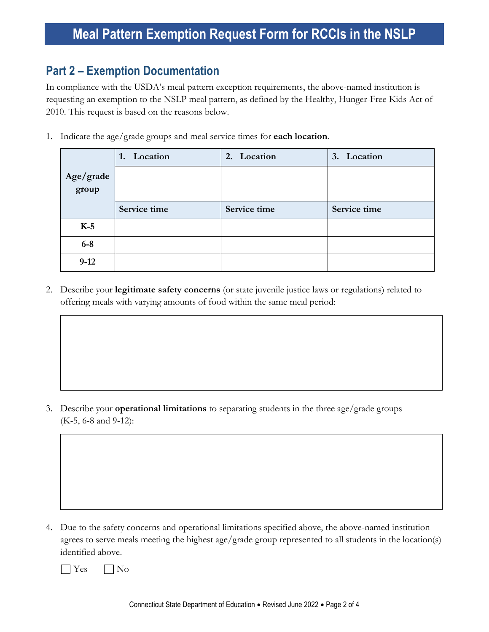### **Meal Pattern Exemption Request Form for RCCIs in the NSLP**

#### **Part 2 – Exemption Documentation**

In compliance with the USDA's meal pattern exception requirements, the above-named institution is requesting an exemption to the NSLP meal pattern, as defined by the Healthy, Hunger-Free Kids Act of 2010. This request is based on the reasons below.

1. Indicate the age/grade groups and meal service times for **each location**.

|                    | 1. Location  | 2. Location  | 3. Location  |
|--------------------|--------------|--------------|--------------|
| Age/grade<br>group |              |              |              |
|                    | Service time | Service time | Service time |
| $K-5$              |              |              |              |
| $6-8$              |              |              |              |
| $9-12$             |              |              |              |

2. Describe your **legitimate safety concerns** (or state juvenile justice laws or regulations) related to offering meals with varying amounts of food within the same meal period:

3. Describe your **operational limitations** to separating students in the three age/grade groups (K-5, 6-8 and 9-12):

4. Due to the safety concerns and operational limitations specified above, the above-named institution agrees to serve meals meeting the highest age/grade group represented to all students in the location(s) identified above.



Connecticut State Department of Education • Revised June 2022 • Page 2 of 4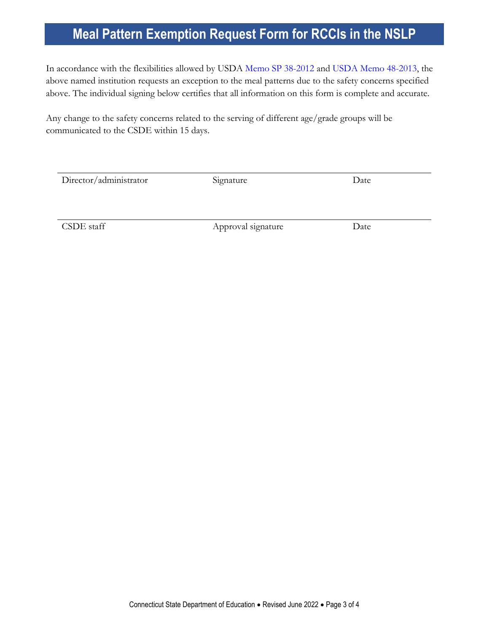## **Meal Pattern Exemption Request Form for RCCIs in the NSLP**

In accordance with the flexibilities allowed by USDA [Memo SP 38-2012](https://www.fns.usda.gov/residential-child-care-institutions-exception-safety-if-serving-multiple-agegrade-groups) and [USDA Memo 48-2013,](https://www.fns.usda.gov/cn/extending-flexibility-rccis-nslp) the above named institution requests an exception to the meal patterns due to the safety concerns specified above. The individual signing below certifies that all information on this form is complete and accurate.

Any change to the safety concerns related to the serving of different age/grade groups will be communicated to the CSDE within 15 days.

| Director/administrator | Signature | Date |
|------------------------|-----------|------|
|                        |           |      |
|                        |           |      |

CSDE staff Approval signature Date